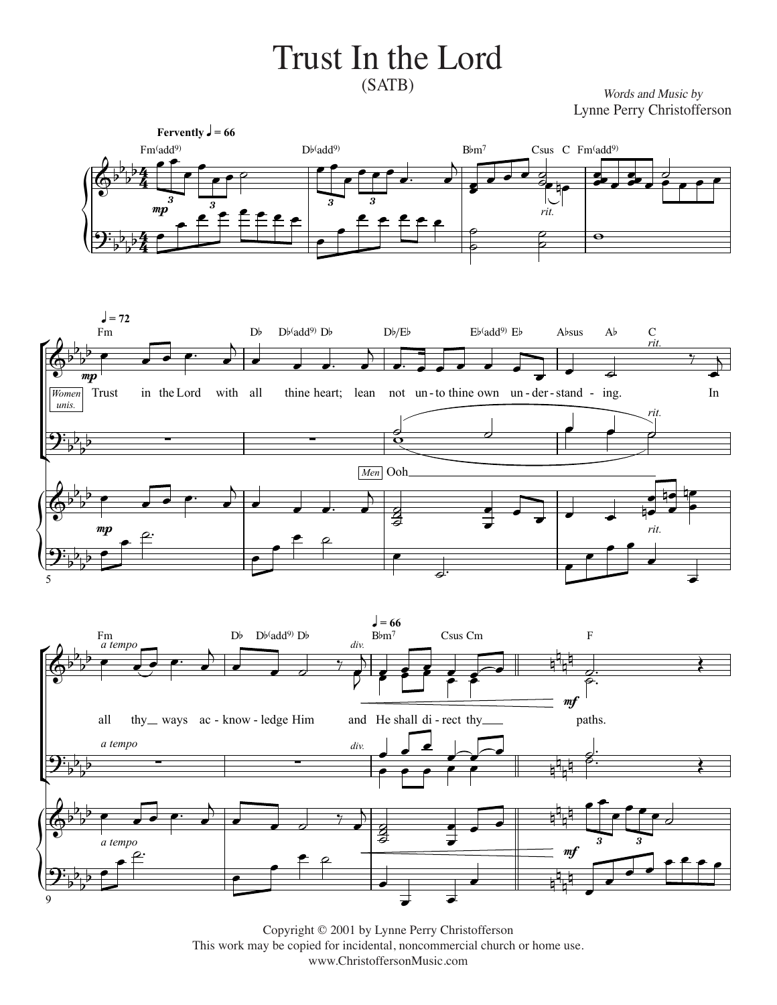## (SATB) Trust In the Lord Trust In the Lord

*Words and Music by* (SATB) Words and Music by Lynne Perry Christofferson Lynne Perry Christofferson







Copyright © 2001 by Lynne Perry Christofferson Copyright © 2001 by Lynne Perry Christofferson This work may be copied for incidental, noncommercial church or home use. www.ChristoffersonMusic.com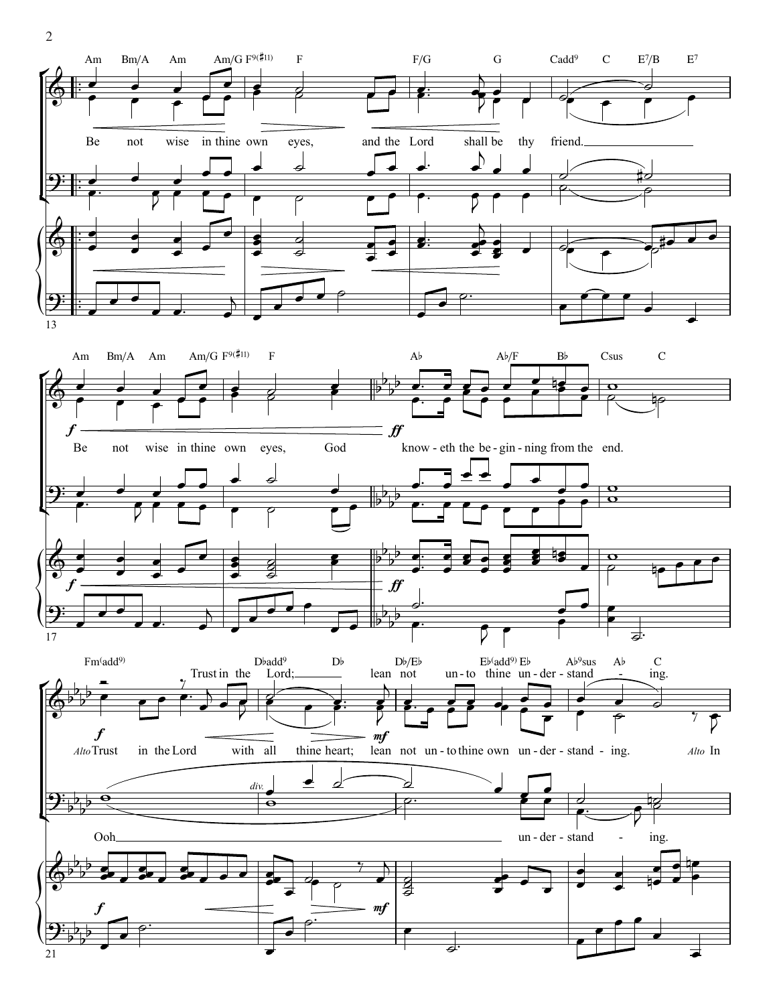